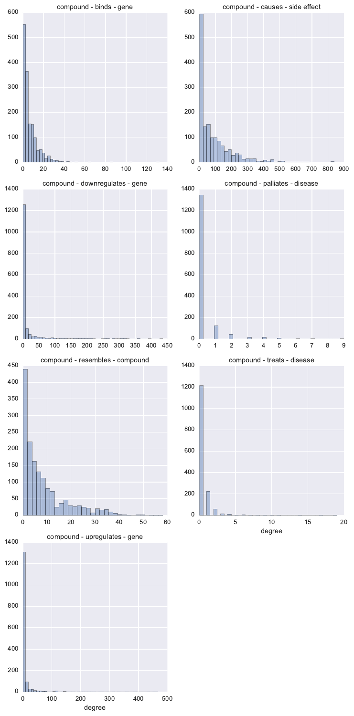



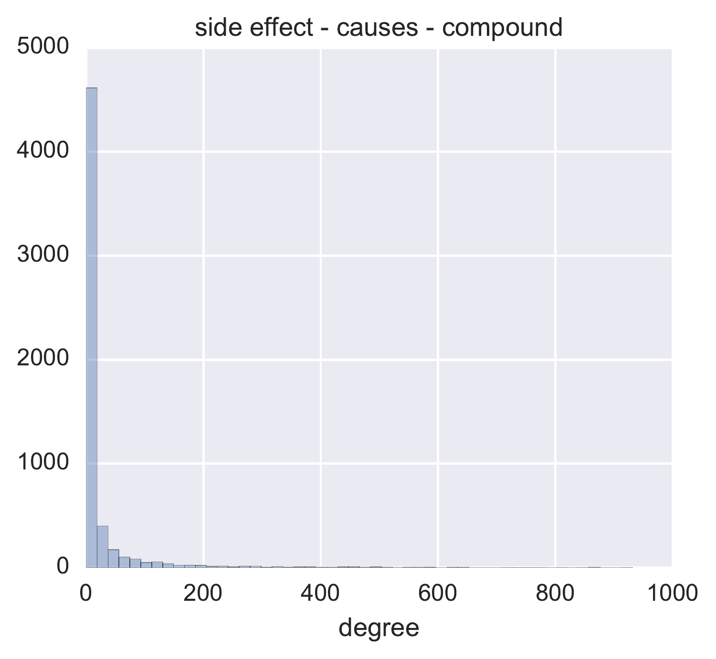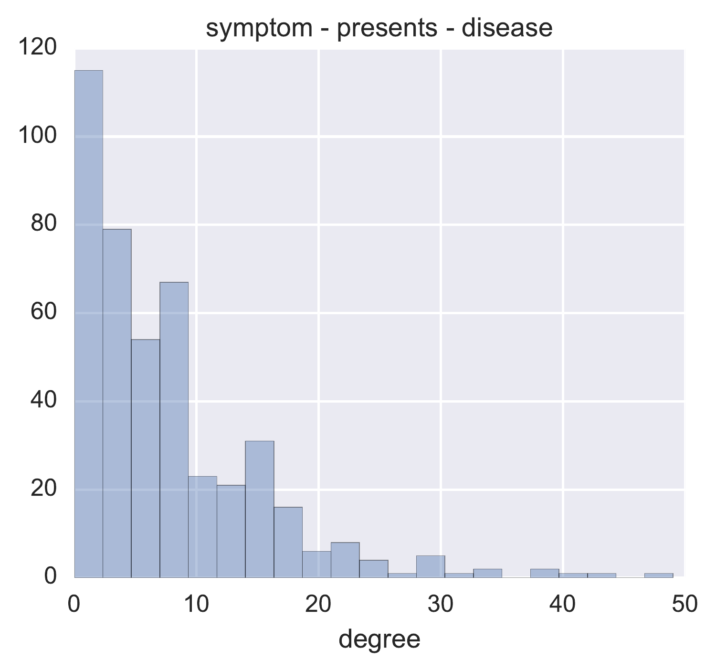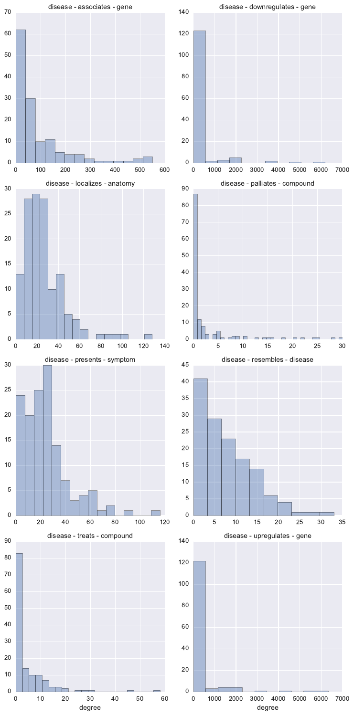



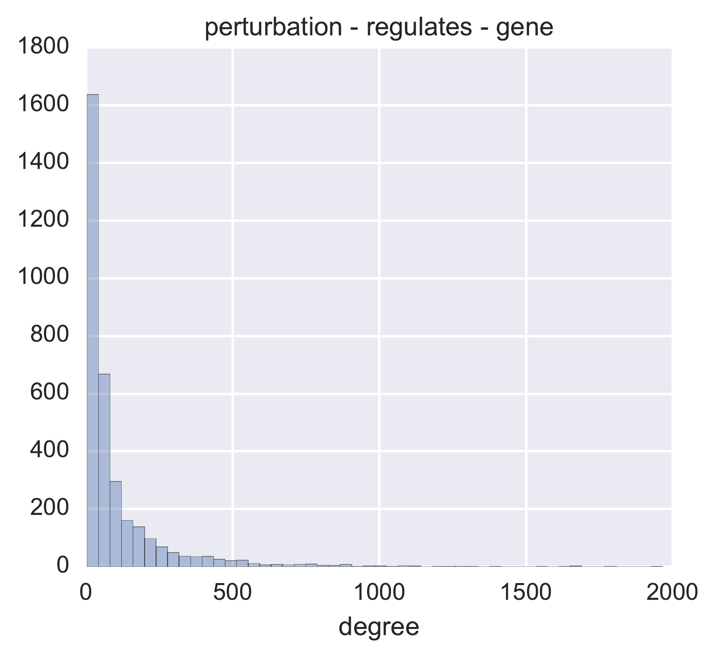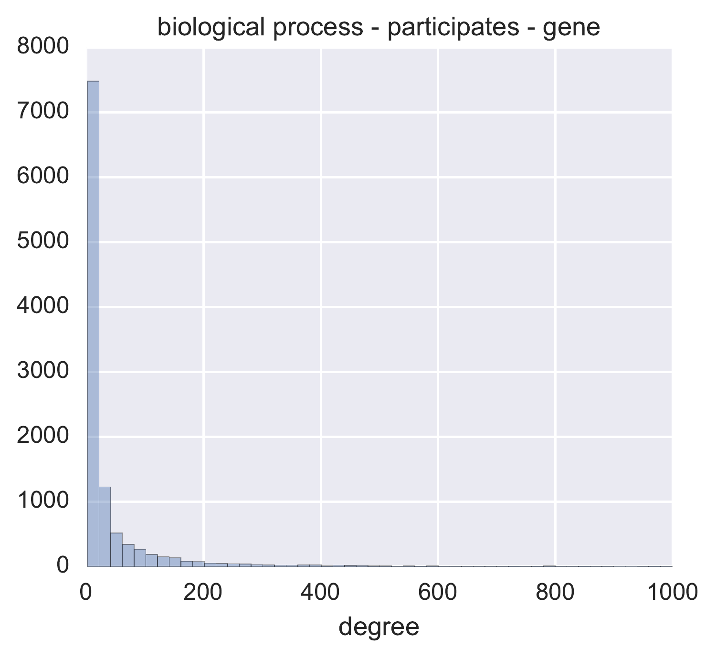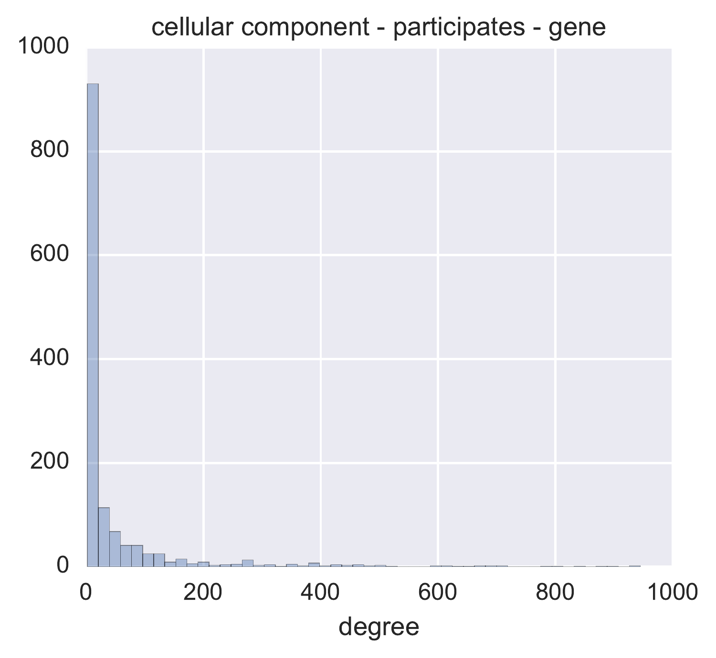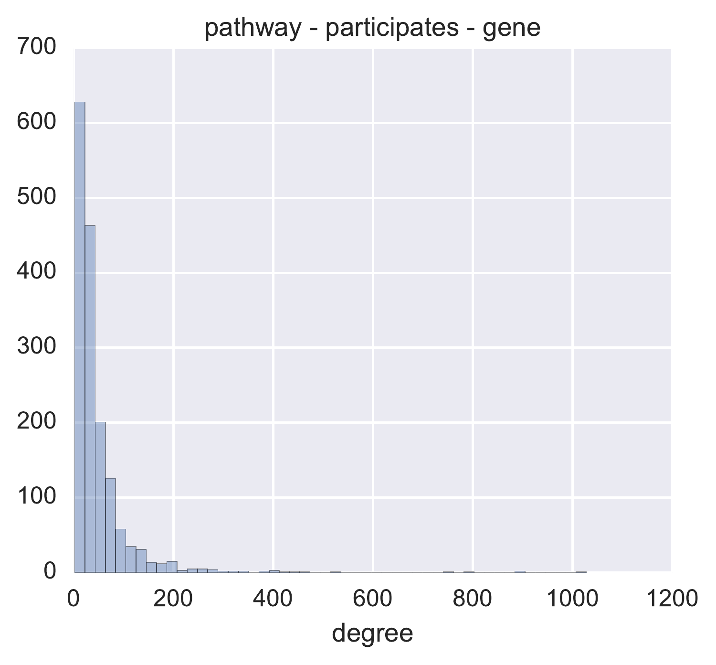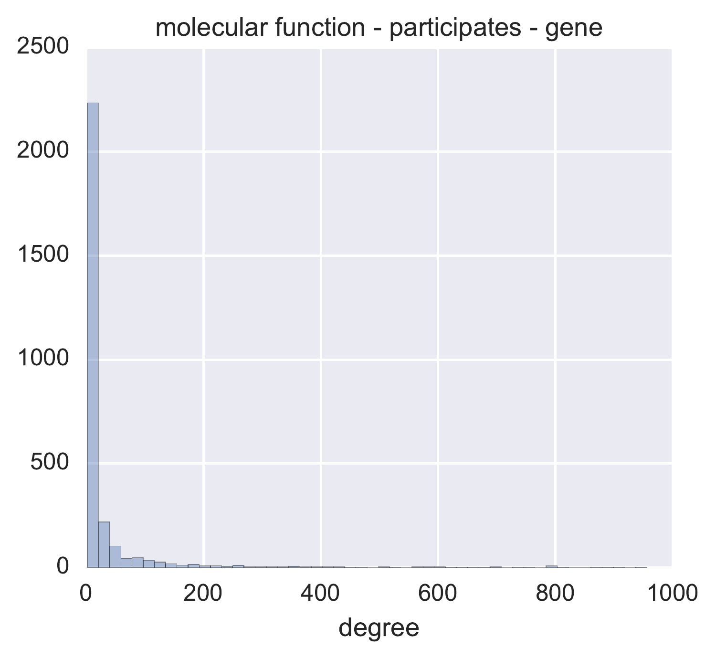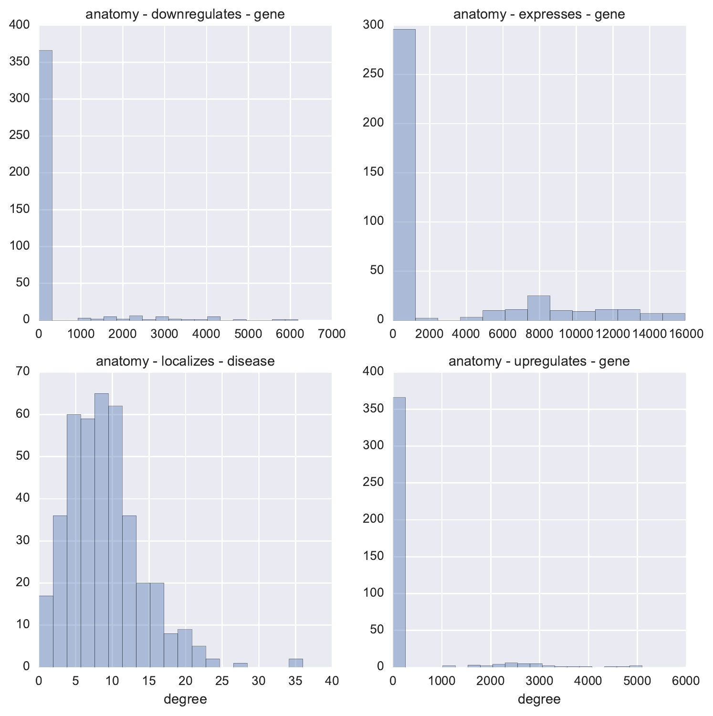